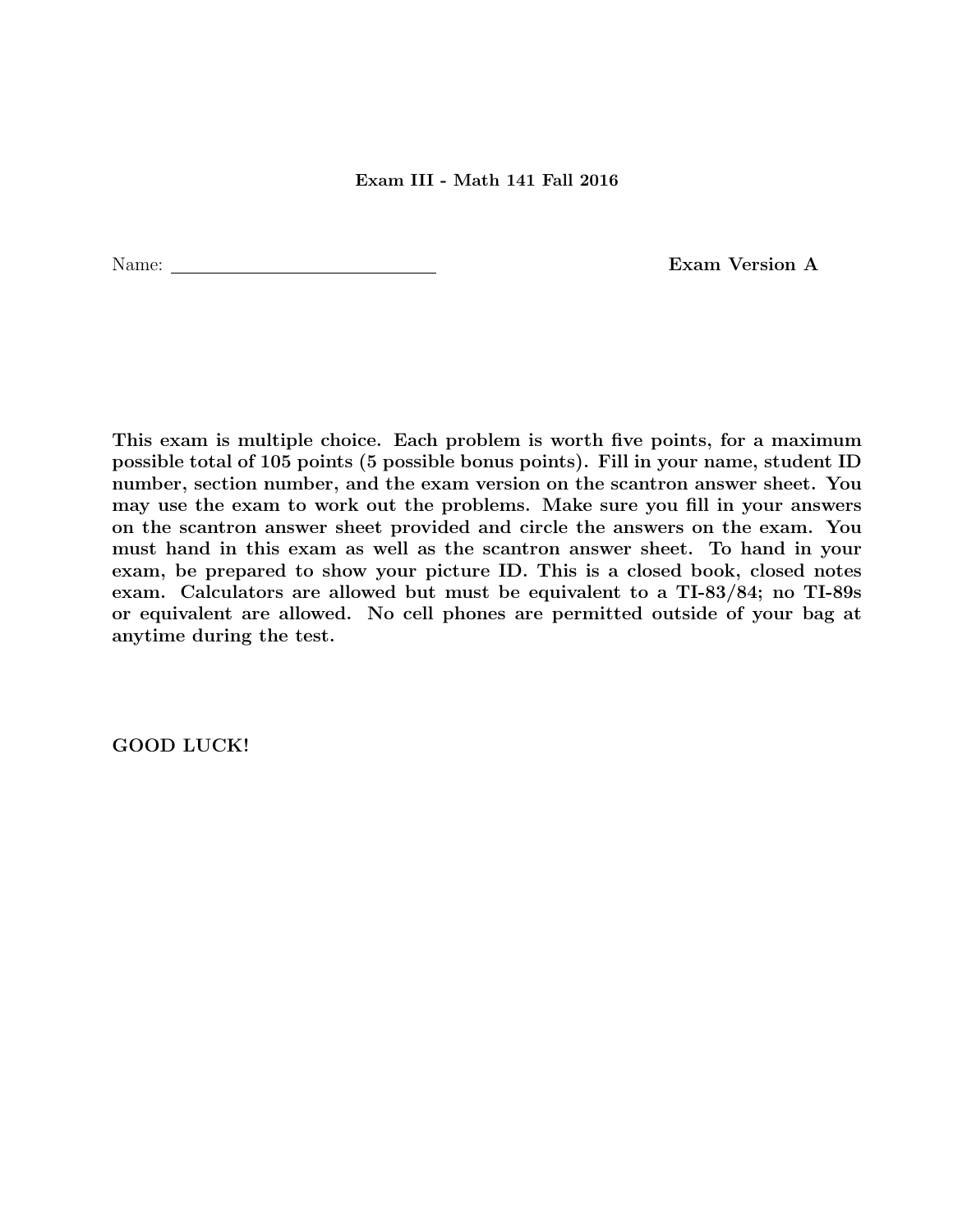Name: Exam Version A

This exam is multiple choice. Each problem is worth five points, for a maximum possible total of 105 points (5 possible bonus points). Fill in your name, student ID number, section number, and the exam version on the scantron answer sheet. You may use the exam to work out the problems. Make sure you fill in your answers on the scantron answer sheet provided and circle the answers on the exam. You must hand in this exam as well as the scantron answer sheet. To hand in your exam, be prepared to show your picture ID. This is a closed book, closed notes exam. Calculators are allowed but must be equivalent to a TI-83/84; no TI-89s or equivalent are allowed. No cell phones are permitted outside of your bag at anytime during the test.

GOOD LUCK!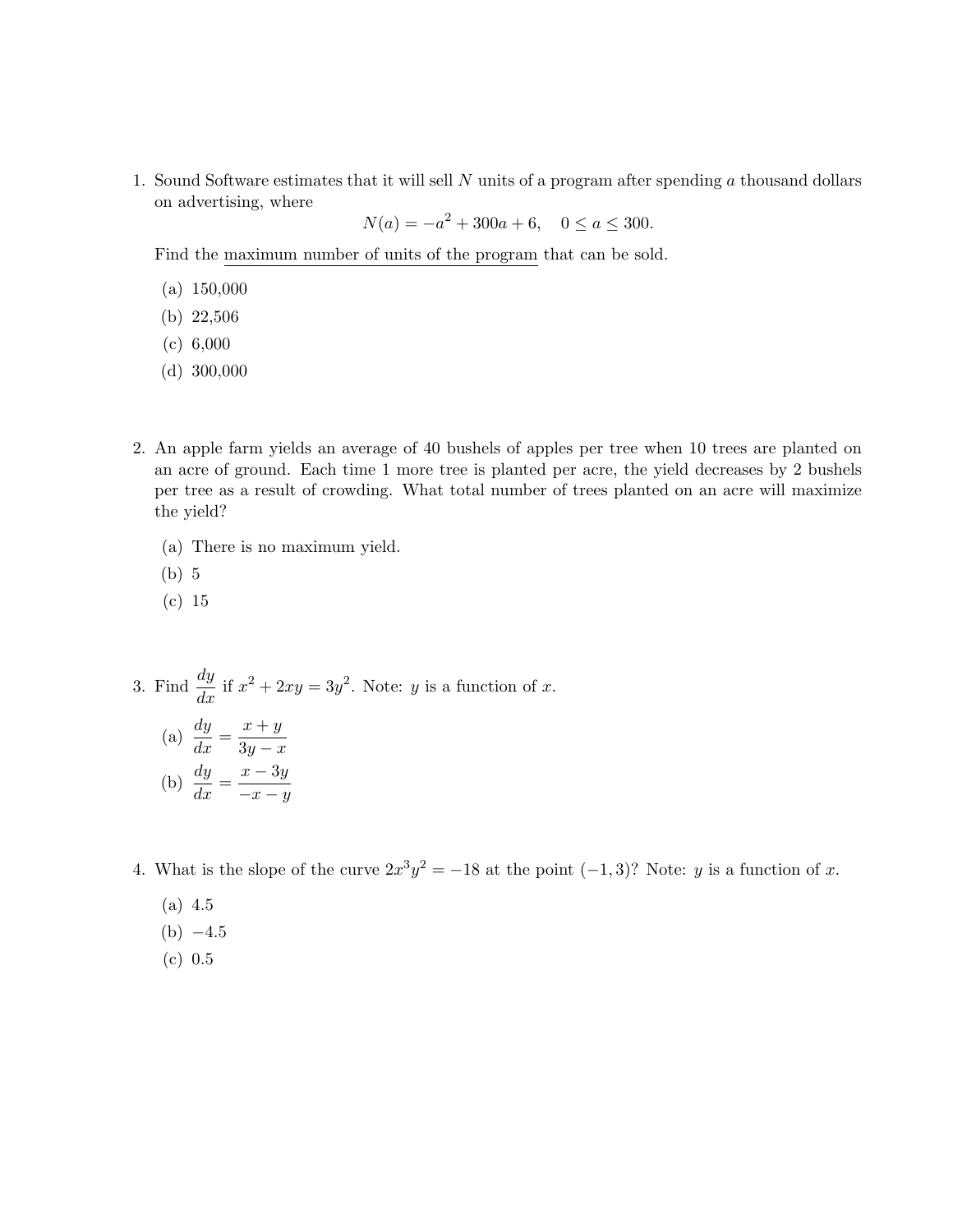1. Sound Software estimates that it will sell  $N$  units of a program after spending  $\alpha$  thousand dollars on advertising, where

 $N(a) = -a^2 + 300a + 6, \quad 0 \le a \le 300.$ 

Find the maximum number of units of the program that can be sold.

- (a) 150,000
- (b) 22,506
- (c) 6,000
- (d) 300,000
- 2. An apple farm yields an average of 40 bushels of apples per tree when 10 trees are planted on an acre of ground. Each time 1 more tree is planted per acre, the yield decreases by 2 bushels per tree as a result of crowding. What total number of trees planted on an acre will maximize the yield?
	- (a) There is no maximum yield.
	- (b) 5
	- (c) 15

3. Find 
$$
\frac{dy}{dx}
$$
 if  $x^2 + 2xy = 3y^2$ . Note:  $y$  is a function of  $x$ .

\n(a)  $\frac{dy}{dx} = \frac{x+y}{3y-x}$ 

\n(b)  $\frac{dy}{dx} = \frac{x-3y}{-x-y}$ 

4. What is the slope of the curve  $2x^3y^2 = -18$  at the point  $(-1, 3)$ ? Note: y is a function of x.

- (a) 4.5
- $(b) -4.5$
- (c) 0.5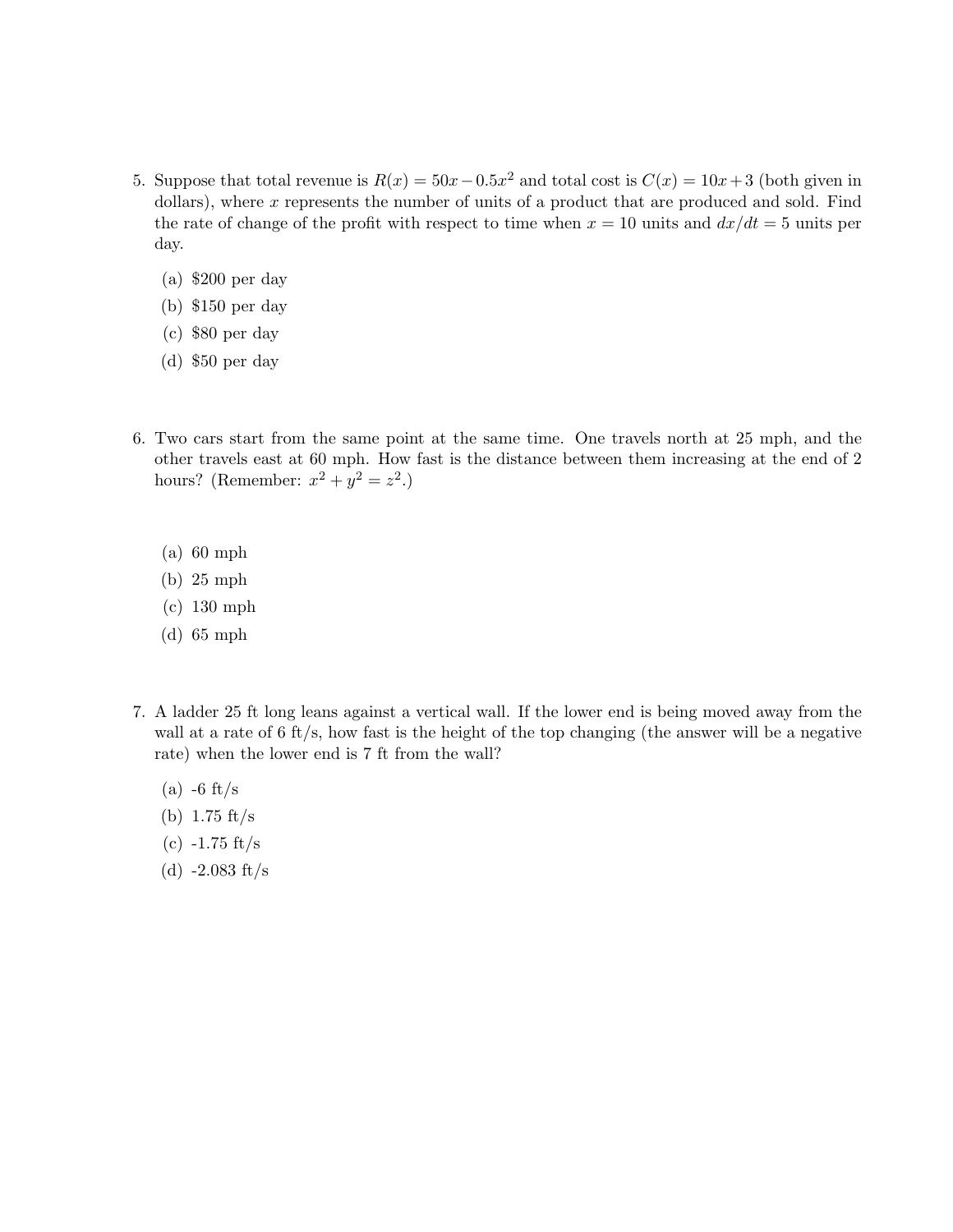- 5. Suppose that total revenue is  $R(x) = 50x 0.5x^2$  and total cost is  $C(x) = 10x + 3$  (both given in dollars), where  $x$  represents the number of units of a product that are produced and sold. Find the rate of change of the profit with respect to time when  $x = 10$  units and  $dx/dt = 5$  units per day.
	- (a) \$200 per day
	- (b) \$150 per day
	- (c) \$80 per day
	- (d) \$50 per day
- 6. Two cars start from the same point at the same time. One travels north at 25 mph, and the other travels east at 60 mph. How fast is the distance between them increasing at the end of 2 hours? (Remember:  $x^2 + y^2 = z^2$ .)
	- (a) 60 mph
	- (b) 25 mph
	- (c) 130 mph
	- (d) 65 mph
- 7. A ladder 25 ft long leans against a vertical wall. If the lower end is being moved away from the wall at a rate of  $6 \text{ ft/s}$ , how fast is the height of the top changing (the answer will be a negative rate) when the lower end is 7 ft from the wall?
	- $(a)$  -6 ft/s
	- (b) 1.75 ft/s
	- $(c) -1.75$  ft/s
	- (d)  $-2.083$  ft/s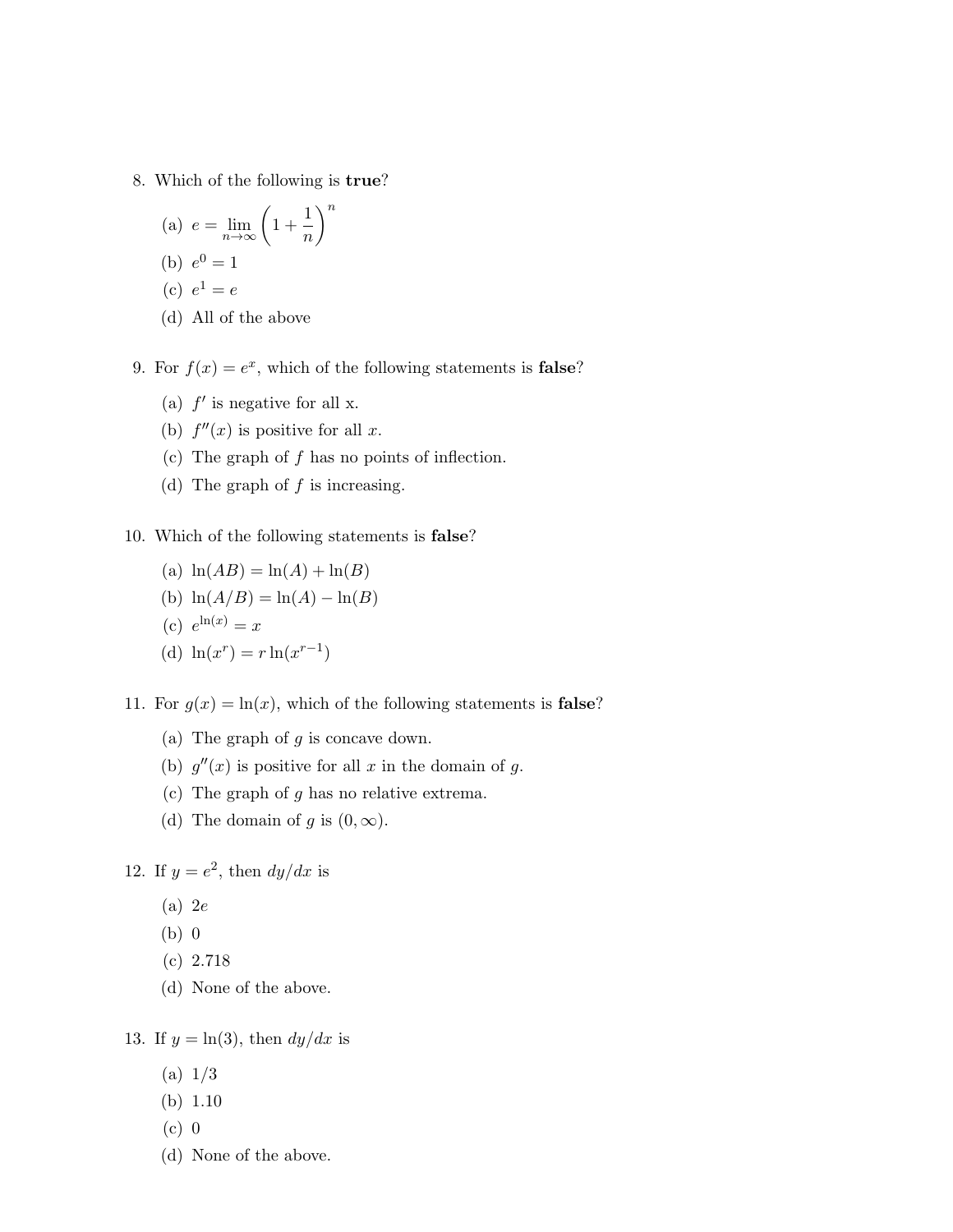- 8. Which of the following is true?
	- (a)  $e = \lim_{n \to \infty} \left( 1 + \frac{1}{n} \right)$ n  $\setminus^n$ (b)  $e^0 = 1$ (c)  $e^1 = e$
	- (d) All of the above
- 9. For  $f(x) = e^x$ , which of the following statements is **false**?
	- (a)  $f'$  is negative for all x.
	- (b)  $f''(x)$  is positive for all x.
	- (c) The graph of  $f$  has no points of inflection.
	- (d) The graph of  $f$  is increasing.
- 10. Which of the following statements is false?
	- (a)  $\ln(AB) = \ln(A) + \ln(B)$
	- (b)  $\ln(A/B) = \ln(A) \ln(B)$
	- (c)  $e^{\ln(x)} = x$
	- (d)  $\ln(x^r) = r \ln(x^{r-1})$
- 11. For  $g(x) = \ln(x)$ , which of the following statements is **false**?
	- (a) The graph of  $g$  is concave down.
	- (b)  $g''(x)$  is positive for all x in the domain of g.
	- (c) The graph of  $g$  has no relative extrema.
	- (d) The domain of g is  $(0, \infty)$ .

12. If  $y = e^2$ , then  $dy/dx$  is

- (a) 2e
- (b) 0
- (c) 2.718
- (d) None of the above.

13. If  $y = \ln(3)$ , then  $dy/dx$  is

- (a) 1/3
- (b) 1.10
- (c) 0
- (d) None of the above.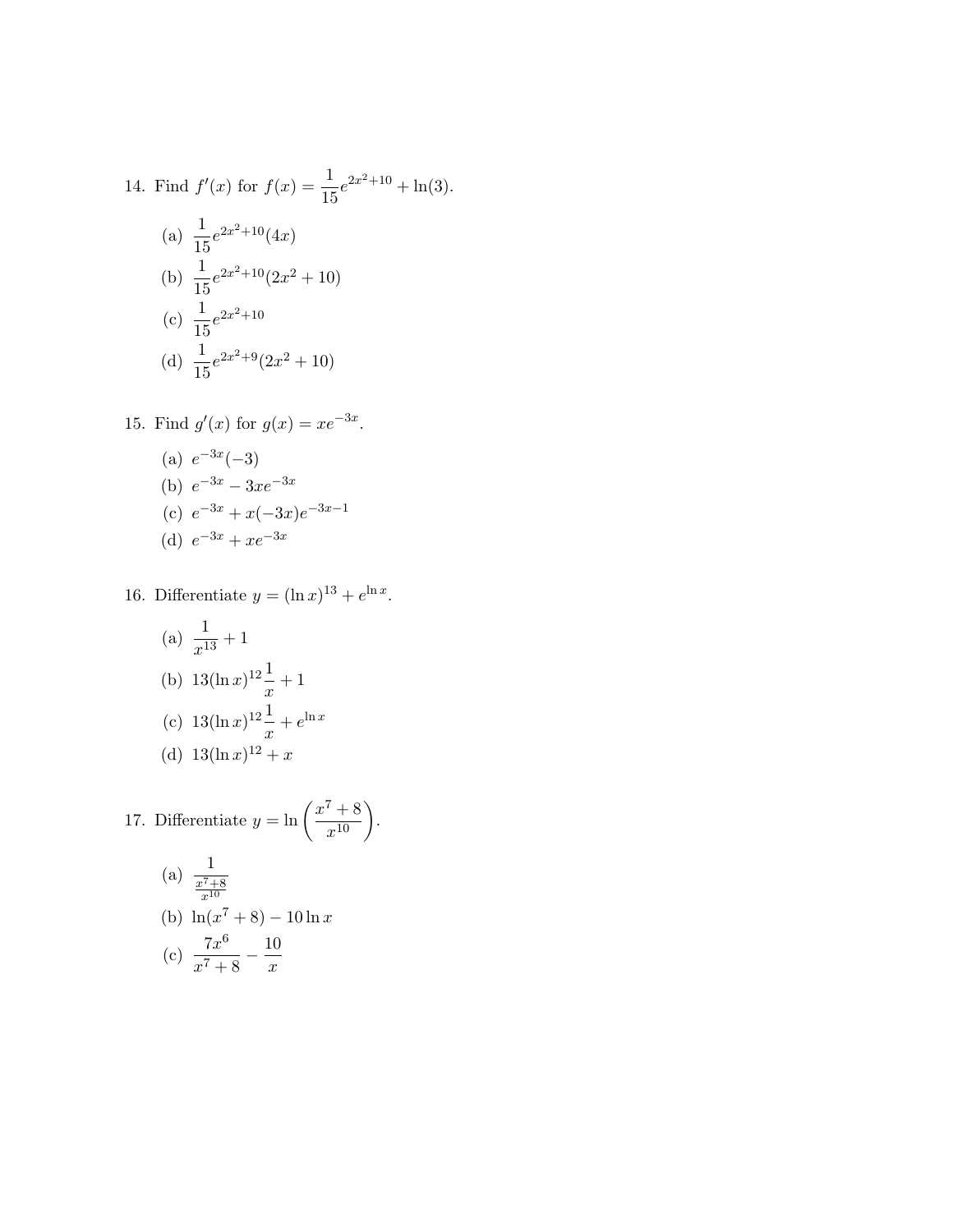14. Find 
$$
f'(x)
$$
 for  $f(x) = \frac{1}{15}e^{2x^2+10} + \ln(3)$ .  
\n(a)  $\frac{1}{15}e^{2x^2+10}(4x)$   
\n(b)  $\frac{1}{15}e^{2x^2+10}(2x^2+10)$   
\n(c)  $\frac{1}{15}e^{2x^2+10}$   
\n(d)  $\frac{1}{15}e^{2x^2+9}(2x^2+10)$ 

15. Find 
$$
g'(x)
$$
 for  $g(x) = xe^{-3x}$ .  
\n(a)  $e^{-3x}(-3)$   
\n(b)  $e^{-3x} - 3xe^{-3x}$   
\n(c)  $e^{-3x} + x(-3x)e^{-3x-1}$   
\n(d)  $e^{-3x} + xe^{-3x}$ 

16. Differentiate  $y = (\ln x)^{13} + e^{\ln x}$ .

(a) 
$$
\frac{1}{x^{13}} + 1
$$
  
\n(b)  $13(\ln x)^{12} \frac{1}{x} + 1$   
\n(c)  $13(\ln x)^{12} \frac{1}{x} + e^{\ln x}$   
\n(d)  $13(\ln x)^{12} + x$ 

17. Differentiate 
$$
y = \ln \left( \frac{x^7 + 8}{x^{10}} \right)
$$
.  
\n(a)  $\frac{1}{\frac{x^7 + 8}{x^{10}}}$   
\n(b)  $\ln(x^7 + 8) - 10 \ln x$   
\n(c)  $\frac{7x^6}{x^7 + 8} - \frac{10}{x}$